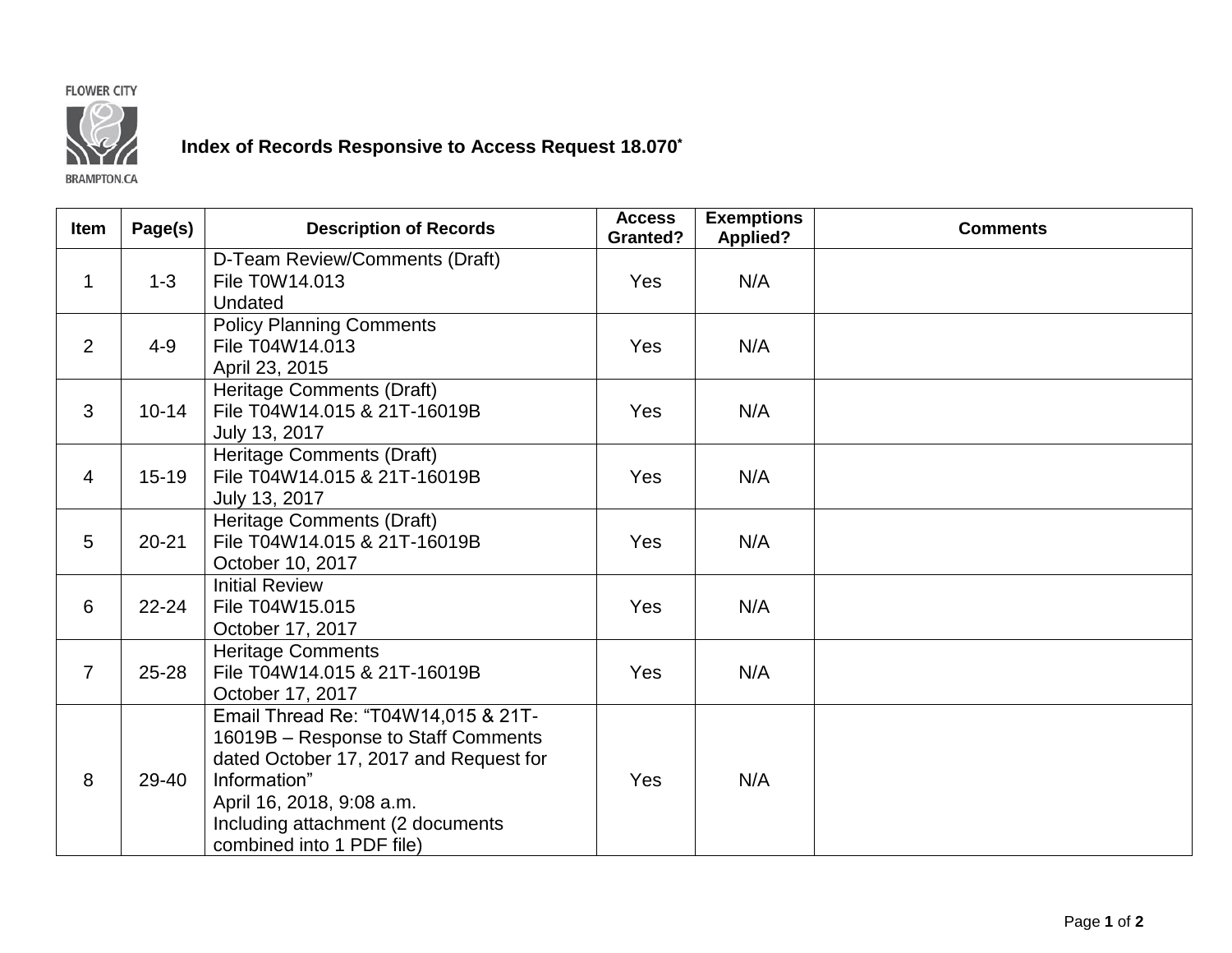## **FLOWER CITY**



## **Index of Records Responsive to Access Request 18.070\***

**BRAMPTON.CA** 

| <b>Item</b>    | Page(s)   | <b>Description of Records</b>                                                                                                                                                                                                       | <b>Access</b><br><b>Granted?</b> | <b>Exemptions</b><br><b>Applied?</b> | <b>Comments</b> |
|----------------|-----------|-------------------------------------------------------------------------------------------------------------------------------------------------------------------------------------------------------------------------------------|----------------------------------|--------------------------------------|-----------------|
| $\mathbf 1$    | $1 - 3$   | D-Team Review/Comments (Draft)<br>File T0W14.013<br>Undated                                                                                                                                                                         | Yes                              | N/A                                  |                 |
| $\overline{2}$ | $4 - 9$   | <b>Policy Planning Comments</b><br>File T04W14.013<br>April 23, 2015                                                                                                                                                                | <b>Yes</b>                       | N/A                                  |                 |
| 3              | $10 - 14$ | Heritage Comments (Draft)<br>File T04W14.015 & 21T-16019B<br>July 13, 2017                                                                                                                                                          | Yes                              | N/A                                  |                 |
| $\overline{4}$ | $15 - 19$ | Heritage Comments (Draft)<br>File T04W14.015 & 21T-16019B<br>July 13, 2017                                                                                                                                                          | Yes                              | N/A                                  |                 |
| 5              | $20 - 21$ | Heritage Comments (Draft)<br>File T04W14.015 & 21T-16019B<br>October 10, 2017                                                                                                                                                       | Yes                              | N/A                                  |                 |
| 6              | $22 - 24$ | <b>Initial Review</b><br>File T04W15.015<br>October 17, 2017                                                                                                                                                                        | Yes                              | N/A                                  |                 |
| $\overline{7}$ | 25-28     | <b>Heritage Comments</b><br>File T04W14.015 & 21T-16019B<br>October 17, 2017                                                                                                                                                        | Yes                              | N/A                                  |                 |
| 8              | 29-40     | Email Thread Re: "T04W14,015 & 21T-<br>16019B - Response to Staff Comments<br>dated October 17, 2017 and Request for<br>Information"<br>April 16, 2018, 9:08 a.m.<br>Including attachment (2 documents<br>combined into 1 PDF file) | Yes                              | N/A                                  |                 |